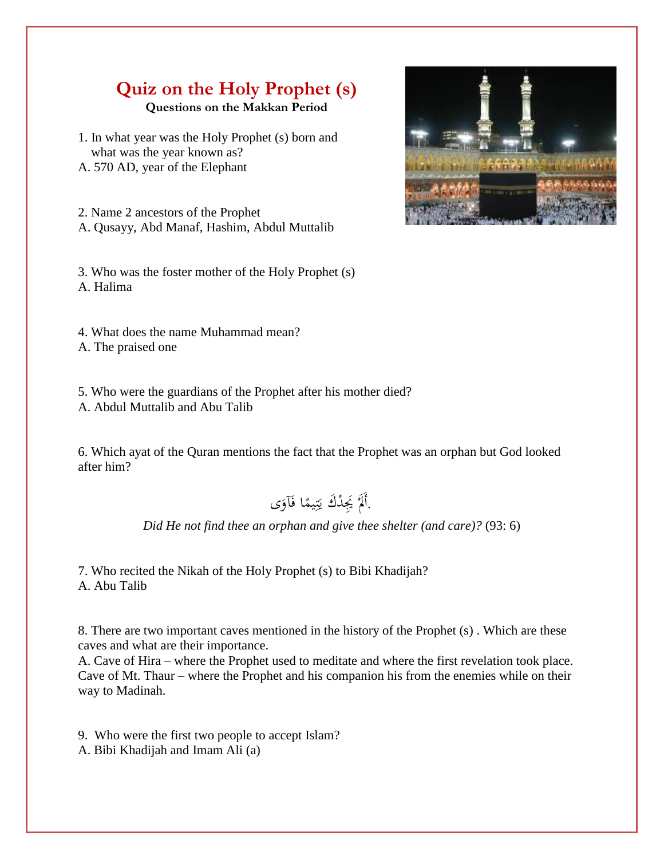## **Quiz on the Holy Prophet (s) Questions on the Makkan Period**

1. In what year was the Holy Prophet (s) born and what was the year known as? A. 570 AD, year of the Elephant

2. Name 2 ancestors of the Prophet A. Qusayy, Abd Manaf, Hashim, Abdul Muttalib

3. Who was the foster mother of the Holy Prophet (s) A. Halima

4. What does the name Muhammad mean? A. The praised one

5. Who were the guardians of the Prophet after his mother died?

A. Abdul Muttalib and Abu Talib

6. Which ayat of the Quran mentions the fact that the Prophet was an orphan but God looked after him?

 . ى َ َآو ا ف ً يم ِ ت َ ْدَك ي ََيِ ْ ََل أَ

*Did He not find thee an orphan and give thee shelter (and care)?* (93: 6)

7. Who recited the Nikah of the Holy Prophet (s) to Bibi Khadijah? A. Abu Talib

8. There are two important caves mentioned in the history of the Prophet (s) . Which are these caves and what are their importance.

A. Cave of Hira – where the Prophet used to meditate and where the first revelation took place. Cave of Mt. Thaur – where the Prophet and his companion his from the enemies while on their way to Madinah.

9. Who were the first two people to accept Islam?

A. Bibi Khadijah and Imam Ali (a)

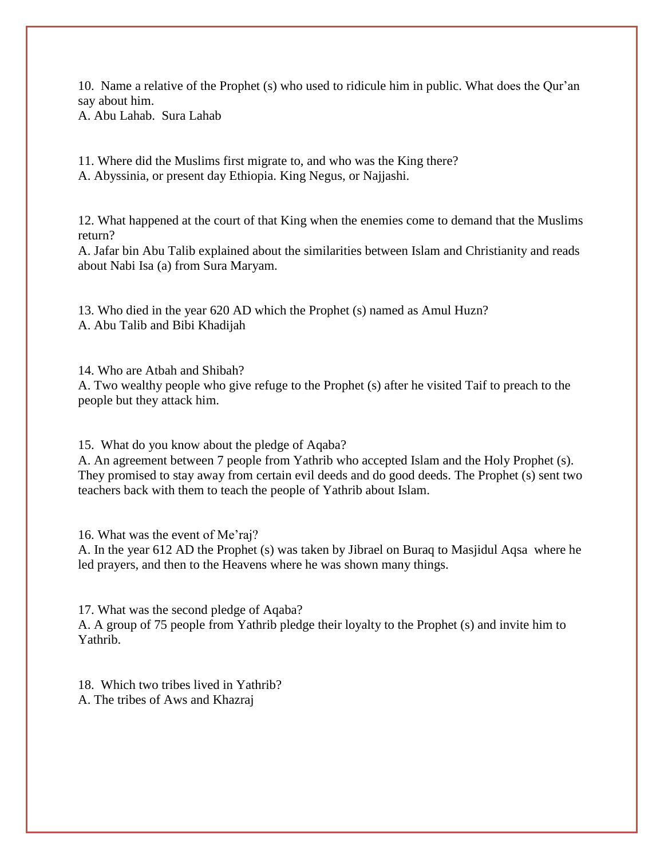10. Name a relative of the Prophet (s) who used to ridicule him in public. What does the Qur'an say about him. A. Abu Lahab. Sura Lahab

11. Where did the Muslims first migrate to, and who was the King there? A. Abyssinia, or present day Ethiopia. King Negus, or Najjashi.

12. What happened at the court of that King when the enemies come to demand that the Muslims return?

A. Jafar bin Abu Talib explained about the similarities between Islam and Christianity and reads about Nabi Isa (a) from Sura Maryam.

13. Who died in the year 620 AD which the Prophet (s) named as Amul Huzn? A. Abu Talib and Bibi Khadijah

14. Who are Atbah and Shibah?

A. Two wealthy people who give refuge to the Prophet (s) after he visited Taif to preach to the people but they attack him.

15. What do you know about the pledge of Aqaba?

A. An agreement between 7 people from Yathrib who accepted Islam and the Holy Prophet (s). They promised to stay away from certain evil deeds and do good deeds. The Prophet (s) sent two teachers back with them to teach the people of Yathrib about Islam.

16. What was the event of Me'raj?

A. In the year 612 AD the Prophet (s) was taken by Jibrael on Buraq to Masjidul Aqsa where he led prayers, and then to the Heavens where he was shown many things.

17. What was the second pledge of Aqaba? A. A group of 75 people from Yathrib pledge their loyalty to the Prophet (s) and invite him to Yathrib.

18. Which two tribes lived in Yathrib? A. The tribes of Aws and Khazraj